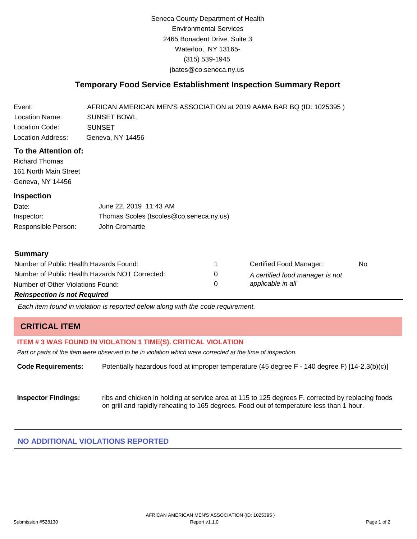Seneca County Department of Health Environmental Services 2465 Bonadent Drive, Suite 3 Waterloo,, NY 13165- (315) 539-1945 [jbates@co.seneca.ny.us](mailto:jbates@co.seneca.ny.us)

# **Temporary Food Service Establishment Inspection Summary Report**

| Event:            | AFRICAN AMERICAN MEN'S ASSOCIATION at 2019 AAMA BAR BQ (ID: 1025395) |
|-------------------|----------------------------------------------------------------------|
| Location Name:    | <b>SUNSET BOWL</b>                                                   |
| Location Code:    | <b>SUNSET</b>                                                        |
| Location Address: | Geneva, NY 14456                                                     |
|                   |                                                                      |

### **To the Attention of:**

Richard Thomas 161 North Main Street Geneva, NY 14456

#### **Inspection**

| Date:               | June 22, 2019 11:43 AM                  |
|---------------------|-----------------------------------------|
| Inspector:          | Thomas Scoles (tscoles@co.seneca.ny.us) |
| Responsible Person: | John Cromartie                          |

#### **Summary**

| Number of Public Health Hazards Found:         | Certified Food Manager:         | No |
|------------------------------------------------|---------------------------------|----|
| Number of Public Health Hazards NOT Corrected: | A certified food manager is not |    |
| Number of Other Violations Found:              | applicable in all               |    |
| <b>Reinspection is not Required</b>            |                                 |    |

*Each item found in violation is reported below along with the code requirement.*

# **CRITICAL ITEM**

#### **ITEM # 3 WAS FOUND IN VIOLATION 1 TIME(S). CRITICAL VIOLATION**

*Part or parts of the item were observed to be in violation which were corrected at the time of inspection.*

**Code Requirements:** Potentially hazardous food at improper temperature (45 degree F - 140 degree F) [14-2.3(b)(c)]

**Inspector Findings:** ribs and chicken in holding at service area at 115 to 125 degrees F. corrected by replacing foods on grill and rapidly reheating to 165 degrees. Food out of temperature less than 1 hour.

### **NO ADDITIONAL VIOLATIONS REPORTED**